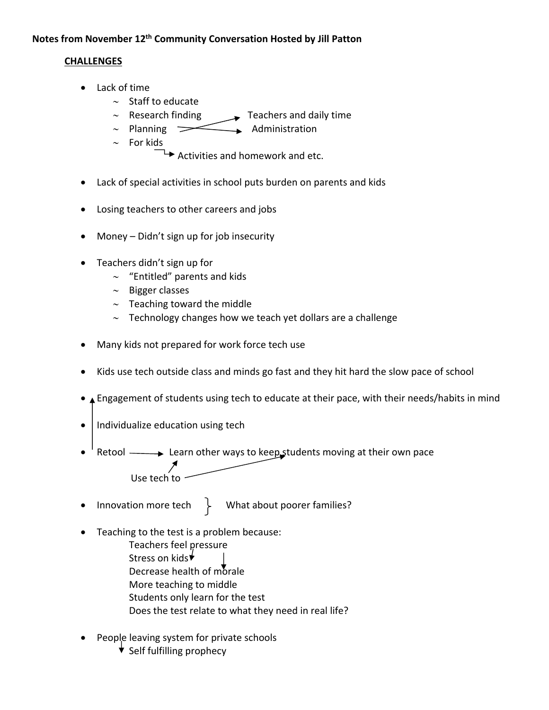## **Notes from November 12th Community Conversation Hosted by Jill Patton**

## **CHALLENGES**

- Lack of time
	- $\sim$  Staff to educate
	- $\sim$  Research finding  $\longrightarrow$  Teachers and daily time
	- $\sim$  Planning  $\sim$  Administration
	- $\sim$  For kids

 $\rightarrow$  Activities and homework and etc.

- Lack of special activities in school puts burden on parents and kids
- Losing teachers to other careers and jobs
- Money Didn't sign up for job insecurity
- Teachers didn't sign up for
	- $\sim$  "Entitled" parents and kids
	- $\sim$  Bigger classes
	- $\sim$  Teaching toward the middle
	- $\sim$  Technology changes how we teach yet dollars are a challenge
- Many kids not prepared for work force tech use
- Kids use tech outside class and minds go fast and they hit hard the slow pace of school
- **A** Engagement of students using tech to educate at their pace, with their needs/habits in mind
- $\bullet$  | Individualize education using tech
- $\bullet$  Retool  $\longrightarrow$  Learn other ways to keep students moving at their own pace Use tech to
- Innovation more tech  $\left.\begin{array}{ccc}\end{array}\right\}$  What about poorer families?
- Teaching to the test is a problem because:
	- Teachers feel pressure Stress on kids<sup>↓</sup> Decrease health of morale More teaching to middle Students only learn for the test Does the test relate to what they need in real life?
- People leaving system for private schools
	- $\overline{\mathbf{v}}$  Self fulfilling prophecy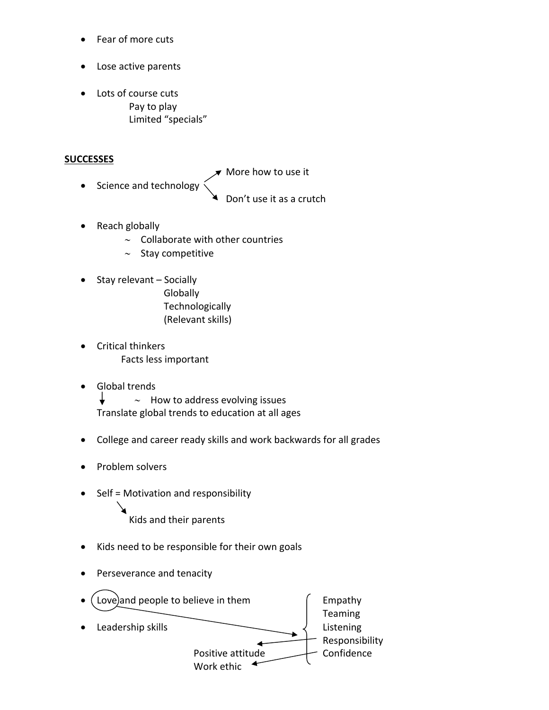- Fear of more cuts
- Lose active parents
- Lots of course cuts Pay to play Limited "specials"

## **SUCCESSES**

- $\blacktriangledown$  More how to use it
- Science and technology
- Don't use it as a crutch
- Reach globally
	- $\sim$  Collaborate with other countries
	- $\sim$  Stay competitive
- Stay relevant Socially
	- **Globally Technologically** (Relevant skills)
- Critical thinkers Facts less important
- Global trends

 $\downarrow$  $\sim$  How to address evolving issues Translate global trends to education at all ages

- College and career ready skills and work backwards for all grades
- Problem solvers
- $\bullet$  Self = Motivation and responsibility

Kids and their parents

- Kids need to be responsible for their own goals
- Perseverance and tenacity

| Love) and people to believe in them<br>$\bullet$ | Empathy        |
|--------------------------------------------------|----------------|
|                                                  | Teaming        |
| Leadership skills<br>$\bullet$                   | Listening      |
|                                                  | Responsibility |
| Positive attitude                                | Confidence     |
| Work ethic                                       |                |